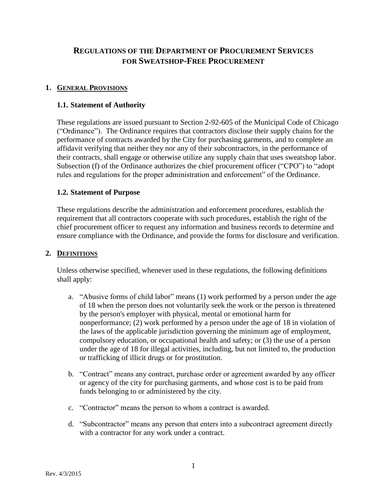# **REGULATIONS OF THE DEPARTMENT OF PROCUREMENT SERVICES FOR SWEATSHOP-FREE PROCUREMENT**

#### **1. GENERAL PROVISIONS**

#### **1.1. Statement of Authority**

These regulations are issued pursuant to Section 2-92-605 of the Municipal Code of Chicago ("Ordinance"). The Ordinance requires that contractors disclose their supply chains for the performance of contracts awarded by the City for purchasing garments, and to complete an affidavit verifying that neither they nor any of their subcontractors, in the performance of their contracts, shall engage or otherwise utilize any supply chain that uses sweatshop labor. Subsection (f) of the Ordinance authorizes the chief procurement officer ("CPO") to "adopt rules and regulations for the proper administration and enforcement" of the Ordinance.

#### **1.2. Statement of Purpose**

These regulations describe the administration and enforcement procedures, establish the requirement that all contractors cooperate with such procedures, establish the right of the chief procurement officer to request any information and business records to determine and ensure compliance with the Ordinance, and provide the forms for disclosure and verification.

#### **2. DEFINITIONS**

Unless otherwise specified, whenever used in these regulations, the following definitions shall apply:

- a. "Abusive forms of child labor" means (1) work performed by a person under the age of 18 when the person does not voluntarily seek the work or the person is threatened by the person's employer with physical, mental or emotional harm for nonperformance; (2) work performed by a person under the age of 18 in violation of the laws of the applicable jurisdiction governing the minimum age of employment, compulsory education, or occupational health and safety; or (3) the use of a person under the age of 18 for illegal activities, including, but not limited to, the production or trafficking of illicit drugs or for prostitution.
- b. "Contract" means any contract, purchase order or agreement awarded by any officer or agency of the city for purchasing garments, and whose cost is to be paid from funds belonging to or administered by the city.
- c. "Contractor" means the person to whom a contract is awarded.
- d. "Subcontractor" means any person that enters into a subcontract agreement directly with a contractor for any work under a contract.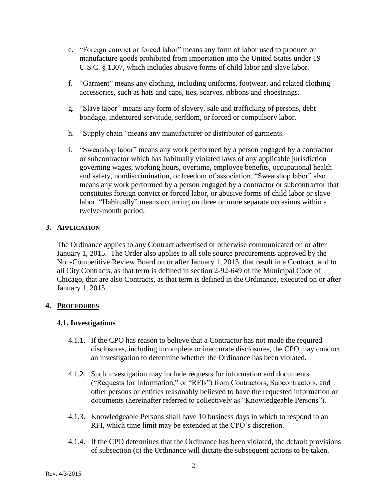- e. "Foreign convict or forced labor" means any form of labor used to produce or manufacture goods prohibited from importation into the United States under 19 U.S.C. § 1307, which includes abusive forms of child labor and slave labor.
- f. "Garment" means any clothing, including uniforms, footwear, and related clothing accessories, such as hats and caps, ties, scarves, ribbons and shoestrings.
- g. "Slave labor" means any form of slavery, sale and trafficking of persons, debt bondage, indentured servitude, serfdom, or forced or compulsory labor.
- h. "Supply chain" means any manufacturer or distributor of garments.
- i. "Sweatshop labor" means any work performed by a person engaged by a contractor or subcontractor which has habitually violated laws of any applicable jurisdiction governing wages, working hours, overtime, employee benefits, occupational health and safety, nondiscrimination, or freedom of association. "Sweatshop labor" also means any work performed by a person engaged by a contractor or subcontractor that constitutes foreign convict or forced labor, or abusive forms of child labor or slave labor. "Habitually" means occurring on three or more separate occasions within a twelve-month period.

### **3. APPLICATION**

The Ordinance applies to any Contract advertised or otherwise communicated on or after January 1, 2015. The Order also applies to all sole source procurements approved by the Non-Competitive Review Board on or after January 1, 2015, that result in a Contract, and to all City Contracts, as that term is defined in section 2-92-649 of the Municipal Code of Chicago, that are also Contracts, as that term is defined in the Ordinance, executed on or after January 1, 2015.

### **4. PROCEDURES**

### **4.1. Investigations**

- 4.1.1. If the CPO has reason to believe that a Contractor has not made the required disclosures, including incomplete or inaccurate disclosures, the CPO may conduct an investigation to determine whether the Ordinance has been violated.
- 4.1.2. Such investigation may include requests for information and documents ("Requests for Information," or "RFIs") from Contractors, Subcontractors, and other persons or entities reasonably believed to have the requested information or documents (hereinafter referred to collectively as "Knowledgeable Persons").
- 4.1.3. Knowledgeable Persons shall have 10 business days in which to respond to an RFI, which time limit may be extended at the CPO's discretion.
- 4.1.4. If the CPO determines that the Ordinance has been violated, the default provisions of subsection (c) the Ordinance will dictate the subsequent actions to be taken.